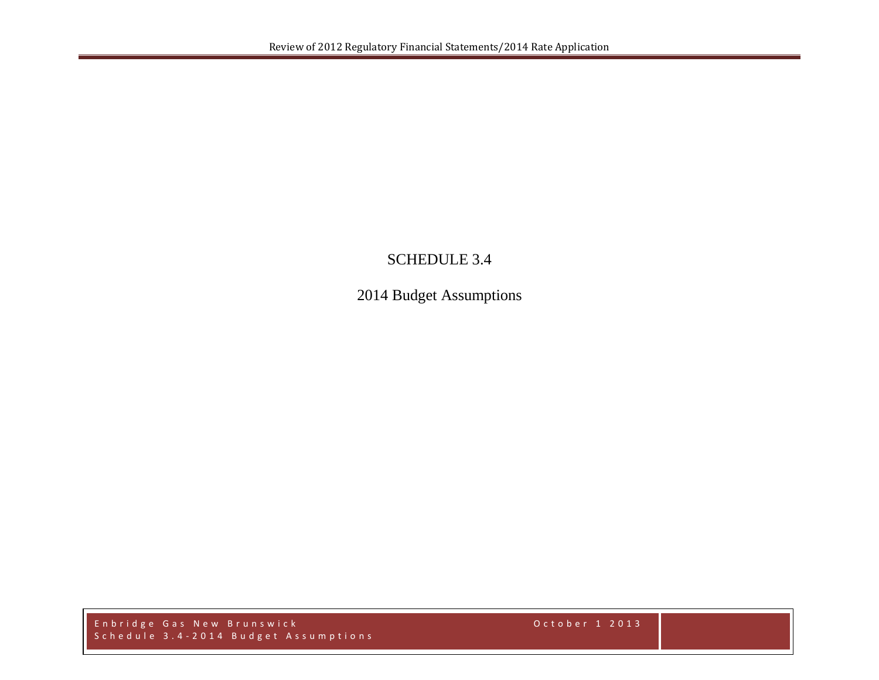## SCHEDULE 3.4

2014 Budget Assumptions

Enbridge Gas New Brunswick October 1 2013 Schedule 3.4 - 2014 Budget Assumptions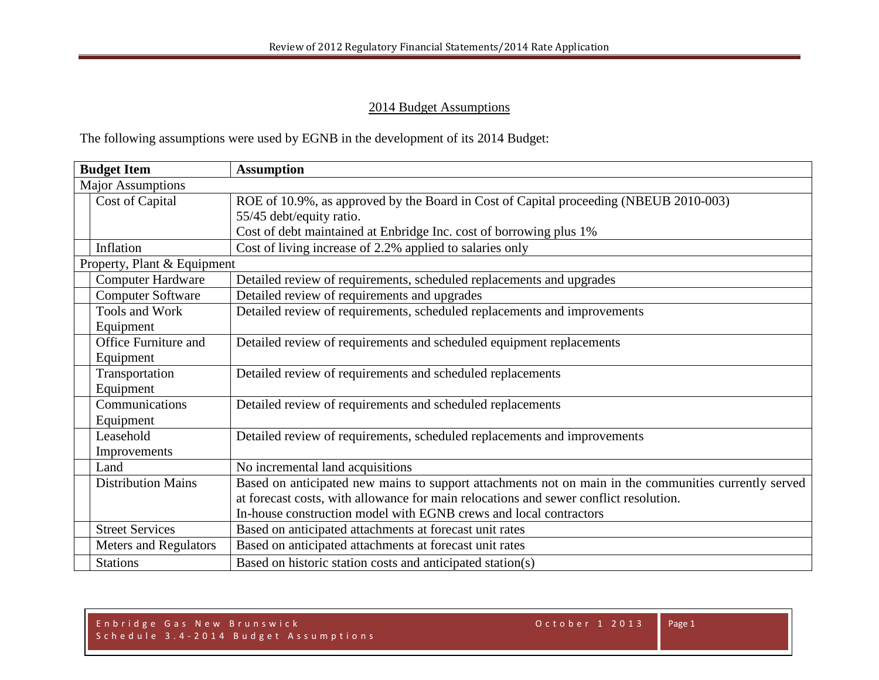## 2014 Budget Assumptions

The following assumptions were used by EGNB in the development of its 2014 Budget:

| <b>Budget Item</b> |                              | <b>Assumption</b>                                                                                     |  |  |  |  |  |
|--------------------|------------------------------|-------------------------------------------------------------------------------------------------------|--|--|--|--|--|
|                    | <b>Major Assumptions</b>     |                                                                                                       |  |  |  |  |  |
|                    | Cost of Capital              | ROE of 10.9%, as approved by the Board in Cost of Capital proceeding (NBEUB 2010-003)                 |  |  |  |  |  |
|                    |                              | 55/45 debt/equity ratio.                                                                              |  |  |  |  |  |
|                    |                              | Cost of debt maintained at Enbridge Inc. cost of borrowing plus 1%                                    |  |  |  |  |  |
|                    | Inflation                    | Cost of living increase of 2.2% applied to salaries only                                              |  |  |  |  |  |
|                    | Property, Plant & Equipment  |                                                                                                       |  |  |  |  |  |
|                    | <b>Computer Hardware</b>     | Detailed review of requirements, scheduled replacements and upgrades                                  |  |  |  |  |  |
|                    | <b>Computer Software</b>     | Detailed review of requirements and upgrades                                                          |  |  |  |  |  |
|                    | Tools and Work               | Detailed review of requirements, scheduled replacements and improvements                              |  |  |  |  |  |
|                    | Equipment                    |                                                                                                       |  |  |  |  |  |
|                    | Office Furniture and         | Detailed review of requirements and scheduled equipment replacements                                  |  |  |  |  |  |
|                    | Equipment                    |                                                                                                       |  |  |  |  |  |
|                    | Transportation               | Detailed review of requirements and scheduled replacements                                            |  |  |  |  |  |
|                    | Equipment                    |                                                                                                       |  |  |  |  |  |
|                    | Communications               | Detailed review of requirements and scheduled replacements                                            |  |  |  |  |  |
|                    | Equipment                    |                                                                                                       |  |  |  |  |  |
|                    | Leasehold                    | Detailed review of requirements, scheduled replacements and improvements                              |  |  |  |  |  |
|                    | Improvements                 |                                                                                                       |  |  |  |  |  |
|                    | Land                         | No incremental land acquisitions                                                                      |  |  |  |  |  |
|                    | <b>Distribution Mains</b>    | Based on anticipated new mains to support attachments not on main in the communities currently served |  |  |  |  |  |
|                    |                              | at forecast costs, with allowance for main relocations and sewer conflict resolution.                 |  |  |  |  |  |
|                    |                              | In-house construction model with EGNB crews and local contractors                                     |  |  |  |  |  |
|                    | <b>Street Services</b>       | Based on anticipated attachments at forecast unit rates                                               |  |  |  |  |  |
|                    | <b>Meters and Regulators</b> | Based on anticipated attachments at forecast unit rates                                               |  |  |  |  |  |
|                    | <b>Stations</b>              | Based on historic station costs and anticipated station(s)                                            |  |  |  |  |  |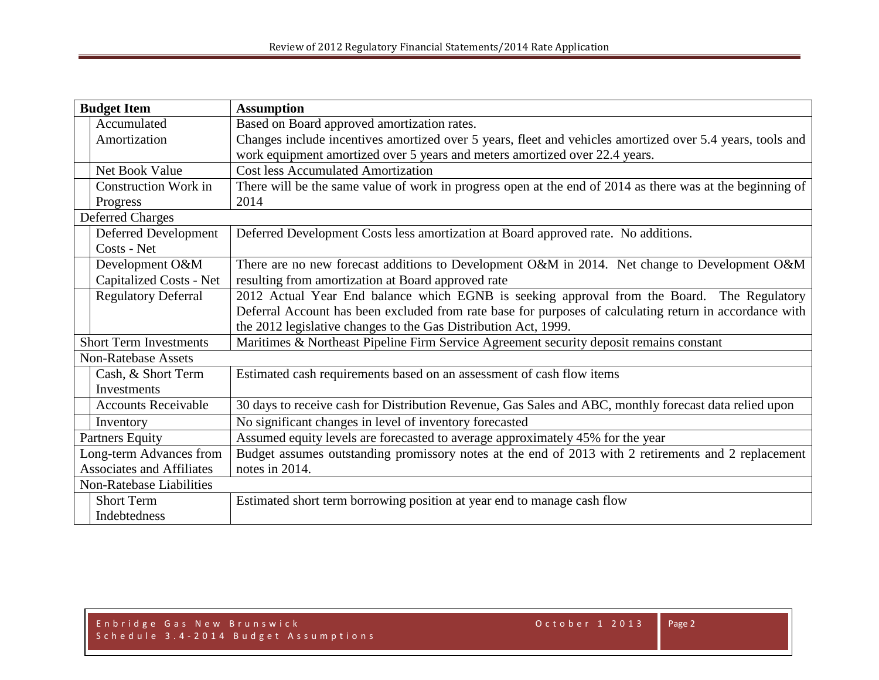| <b>Budget Item</b>               |                                 | <b>Assumption</b>                                                                                         |  |  |  |  |  |
|----------------------------------|---------------------------------|-----------------------------------------------------------------------------------------------------------|--|--|--|--|--|
|                                  | Accumulated                     | Based on Board approved amortization rates.                                                               |  |  |  |  |  |
|                                  | Amortization                    | Changes include incentives amortized over 5 years, fleet and vehicles amortized over 5.4 years, tools and |  |  |  |  |  |
|                                  |                                 | work equipment amortized over 5 years and meters amortized over 22.4 years.                               |  |  |  |  |  |
|                                  | Net Book Value                  | <b>Cost less Accumulated Amortization</b>                                                                 |  |  |  |  |  |
|                                  | <b>Construction Work in</b>     | There will be the same value of work in progress open at the end of 2014 as there was at the beginning of |  |  |  |  |  |
|                                  | Progress                        | 2014                                                                                                      |  |  |  |  |  |
|                                  | <b>Deferred Charges</b>         |                                                                                                           |  |  |  |  |  |
|                                  | Deferred Development            | Deferred Development Costs less amortization at Board approved rate. No additions.                        |  |  |  |  |  |
|                                  | Costs - Net                     |                                                                                                           |  |  |  |  |  |
|                                  | Development O&M                 | There are no new forecast additions to Development O&M in 2014. Net change to Development O&M             |  |  |  |  |  |
|                                  | Capitalized Costs - Net         | resulting from amortization at Board approved rate                                                        |  |  |  |  |  |
|                                  | <b>Regulatory Deferral</b>      | 2012 Actual Year End balance which EGNB is seeking approval from the Board. The Regulatory                |  |  |  |  |  |
|                                  |                                 | Deferral Account has been excluded from rate base for purposes of calculating return in accordance with   |  |  |  |  |  |
|                                  |                                 | the 2012 legislative changes to the Gas Distribution Act, 1999.                                           |  |  |  |  |  |
| <b>Short Term Investments</b>    |                                 | Maritimes & Northeast Pipeline Firm Service Agreement security deposit remains constant                   |  |  |  |  |  |
|                                  | <b>Non-Ratebase Assets</b>      |                                                                                                           |  |  |  |  |  |
|                                  | Cash, & Short Term              | Estimated cash requirements based on an assessment of cash flow items                                     |  |  |  |  |  |
|                                  | <b>Investments</b>              |                                                                                                           |  |  |  |  |  |
|                                  | <b>Accounts Receivable</b>      | 30 days to receive cash for Distribution Revenue, Gas Sales and ABC, monthly forecast data relied upon    |  |  |  |  |  |
|                                  | Inventory                       | No significant changes in level of inventory forecasted                                                   |  |  |  |  |  |
| <b>Partners Equity</b>           |                                 | Assumed equity levels are forecasted to average approximately 45% for the year                            |  |  |  |  |  |
| Long-term Advances from          |                                 | Budget assumes outstanding promissory notes at the end of 2013 with 2 retirements and 2 replacement       |  |  |  |  |  |
| <b>Associates and Affiliates</b> |                                 | notes in 2014.                                                                                            |  |  |  |  |  |
|                                  | <b>Non-Ratebase Liabilities</b> |                                                                                                           |  |  |  |  |  |
|                                  | <b>Short Term</b>               | Estimated short term borrowing position at year end to manage cash flow                                   |  |  |  |  |  |
|                                  | Indebtedness                    |                                                                                                           |  |  |  |  |  |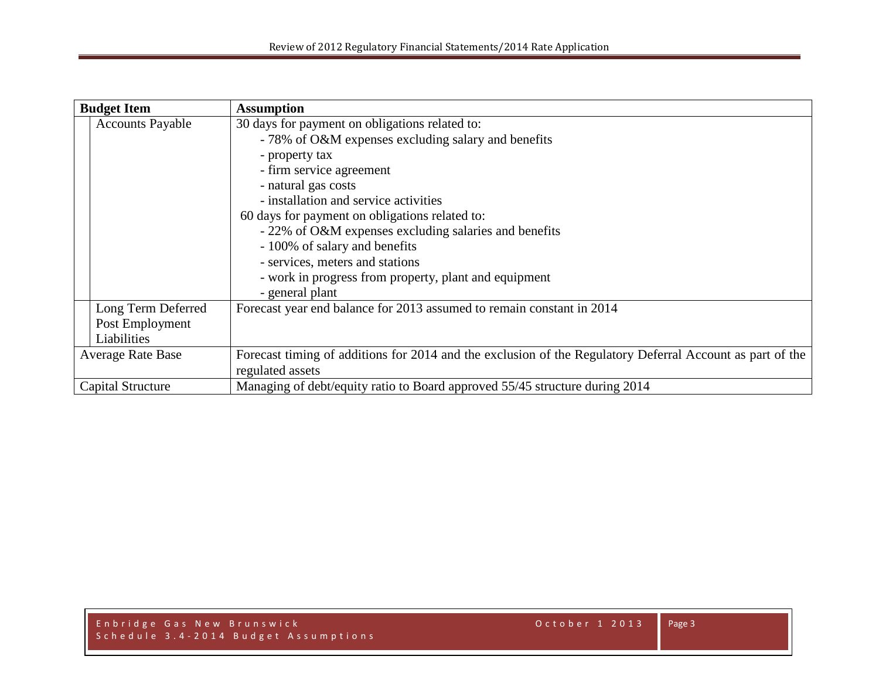| <b>Budget Item</b>       |                         | <b>Assumption</b>                                                                                         |  |  |  |  |  |  |
|--------------------------|-------------------------|-----------------------------------------------------------------------------------------------------------|--|--|--|--|--|--|
|                          | <b>Accounts Payable</b> | 30 days for payment on obligations related to:                                                            |  |  |  |  |  |  |
|                          |                         | - 78% of O&M expenses excluding salary and benefits                                                       |  |  |  |  |  |  |
|                          |                         | - property tax                                                                                            |  |  |  |  |  |  |
|                          |                         | - firm service agreement                                                                                  |  |  |  |  |  |  |
|                          |                         | - natural gas costs                                                                                       |  |  |  |  |  |  |
|                          |                         | - installation and service activities                                                                     |  |  |  |  |  |  |
|                          |                         | 60 days for payment on obligations related to:                                                            |  |  |  |  |  |  |
|                          |                         | - 22% of O&M expenses excluding salaries and benefits                                                     |  |  |  |  |  |  |
|                          |                         | - 100% of salary and benefits                                                                             |  |  |  |  |  |  |
|                          |                         | - services, meters and stations                                                                           |  |  |  |  |  |  |
|                          |                         | - work in progress from property, plant and equipment                                                     |  |  |  |  |  |  |
|                          |                         | - general plant                                                                                           |  |  |  |  |  |  |
|                          | Long Term Deferred      | Forecast year end balance for 2013 assumed to remain constant in 2014                                     |  |  |  |  |  |  |
|                          | Post Employment         |                                                                                                           |  |  |  |  |  |  |
|                          | Liabilities             |                                                                                                           |  |  |  |  |  |  |
| <b>Average Rate Base</b> |                         | Forecast timing of additions for 2014 and the exclusion of the Regulatory Deferral Account as part of the |  |  |  |  |  |  |
|                          |                         | regulated assets                                                                                          |  |  |  |  |  |  |
| <b>Capital Structure</b> |                         | Managing of debt/equity ratio to Board approved 55/45 structure during 2014                               |  |  |  |  |  |  |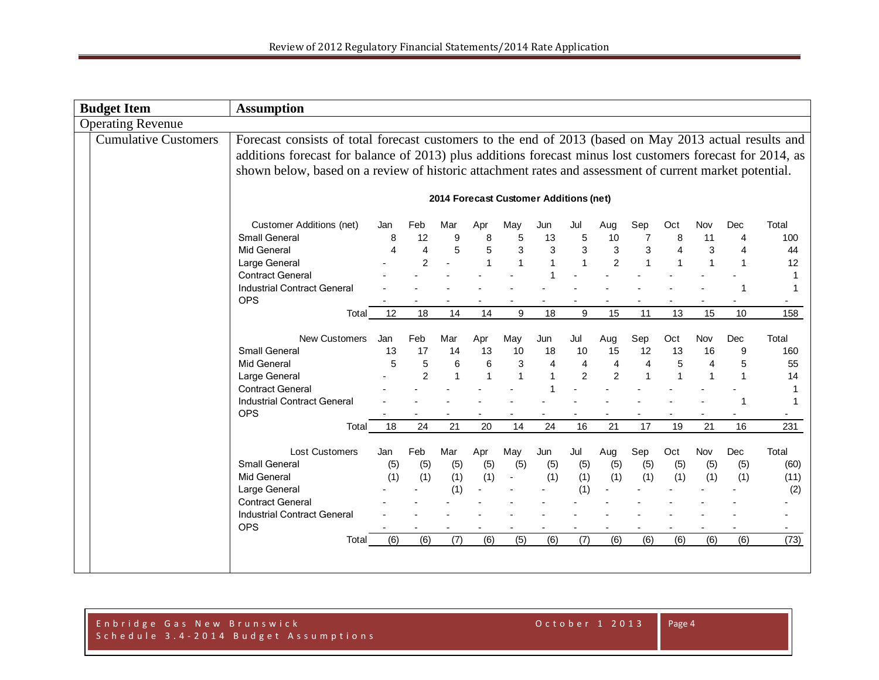| <b>Budget Item</b>          | <b>Assumption</b>                                                                                                                                                                                                                                                                                                               |                          |                                  |                                 |                                |                                |                                               |                                               |                                                          |                                             |                          |                                             |                                            |                                      |
|-----------------------------|---------------------------------------------------------------------------------------------------------------------------------------------------------------------------------------------------------------------------------------------------------------------------------------------------------------------------------|--------------------------|----------------------------------|---------------------------------|--------------------------------|--------------------------------|-----------------------------------------------|-----------------------------------------------|----------------------------------------------------------|---------------------------------------------|--------------------------|---------------------------------------------|--------------------------------------------|--------------------------------------|
| <b>Operating Revenue</b>    |                                                                                                                                                                                                                                                                                                                                 |                          |                                  |                                 |                                |                                |                                               |                                               |                                                          |                                             |                          |                                             |                                            |                                      |
| <b>Cumulative Customers</b> | Forecast consists of total forecast customers to the end of 2013 (based on May 2013 actual results and<br>additions forecast for balance of 2013) plus additions forecast minus lost customers forecast for 2014, as<br>shown below, based on a review of historic attachment rates and assessment of current market potential. |                          |                                  |                                 |                                |                                |                                               |                                               |                                                          |                                             |                          |                                             |                                            |                                      |
|                             |                                                                                                                                                                                                                                                                                                                                 |                          |                                  |                                 |                                |                                | 2014 Forecast Customer Additions (net)        |                                               |                                                          |                                             |                          |                                             |                                            |                                      |
|                             | <b>Customer Additions (net)</b><br><b>Small General</b><br><b>Mid General</b><br>Large General<br><b>Contract General</b>                                                                                                                                                                                                       | Jan<br>8                 | Feb<br>12<br>$\overline{4}$<br>2 | Mar<br>$\boldsymbol{9}$<br>5    | Apr<br>8<br>5<br>1             | May<br>5<br>3<br>1             | Jun<br>13<br>3                                | Jul<br>5<br>$\mathbf{3}$<br>1                 | Aug<br>10<br>$\ensuremath{\mathsf{3}}$<br>$\overline{2}$ | Sep<br>7<br>3<br>1                          | Oct<br>8<br>4            | Nov<br>11<br>$\sqrt{3}$<br>$\mathbf{1}$     | Dec<br>4<br>$\overline{4}$<br>$\mathbf{1}$ | Total<br>100<br>44<br>12<br>1        |
|                             | <b>Industrial Contract General</b><br><b>OPS</b><br>Total                                                                                                                                                                                                                                                                       | 12                       | 18                               | 14                              | 14                             | 9                              | 18                                            | 9                                             | 15                                                       | 11                                          | 13                       | 15                                          | -1<br>10                                   | 1<br>158                             |
|                             | New Customers<br>Small General<br><b>Mid General</b><br>Large General<br><b>Contract General</b><br><b>Industrial Contract General</b>                                                                                                                                                                                          | Jan<br>13<br>5           | Feb<br>17<br>5<br>$\overline{2}$ | Mar<br>14<br>6<br>$\mathbf{1}$  | Apr<br>13<br>6<br>$\mathbf{1}$ | May<br>10<br>3<br>$\mathbf{1}$ | Jun<br>18<br>$\overline{4}$<br>$\overline{1}$ | Jul<br>10<br>$\overline{4}$<br>$\overline{2}$ | Aug<br>15<br>$\overline{4}$<br>2                         | Sep<br>12<br>$\overline{4}$<br>$\mathbf{1}$ | Oct<br>13<br>5           | Nov<br>16<br>$\overline{4}$<br>$\mathbf{1}$ | Dec<br>9<br>5<br>$\overline{1}$            | Total<br>160<br>55<br>14<br>1<br>1   |
|                             | <b>OPS</b><br>Total                                                                                                                                                                                                                                                                                                             | 18                       | 24                               | 21                              | 20                             | 14                             | 24                                            | 16                                            | 21                                                       | 17                                          | 19                       | 21                                          | 16                                         | 231                                  |
|                             | <b>Lost Customers</b><br>Small General<br><b>Mid General</b><br>Large General<br><b>Contract General</b><br><b>Industrial Contract General</b><br><b>OPS</b><br>Total                                                                                                                                                           | Jan<br>(5)<br>(1)<br>(6) | Feb<br>(5)<br>(1)<br>(6)         | Mar<br>(5)<br>(1)<br>(1)<br>(7) | Apr<br>(5)<br>(1)<br>(6)       | May<br>(5)<br>(5)              | Jun<br>(5)<br>(1)<br>(6)                      | Jul<br>(5)<br>(1)<br>(1)<br>(7)               | Aug<br>(5)<br>(1)<br>(6)                                 | Sep<br>(5)<br>(1)<br>(6)                    | Oct<br>(5)<br>(1)<br>(6) | Nov<br>(5)<br>(1)<br>(6)                    | Dec<br>(5)<br>(1)<br>(6)                   | Total<br>(60)<br>(11)<br>(2)<br>(73) |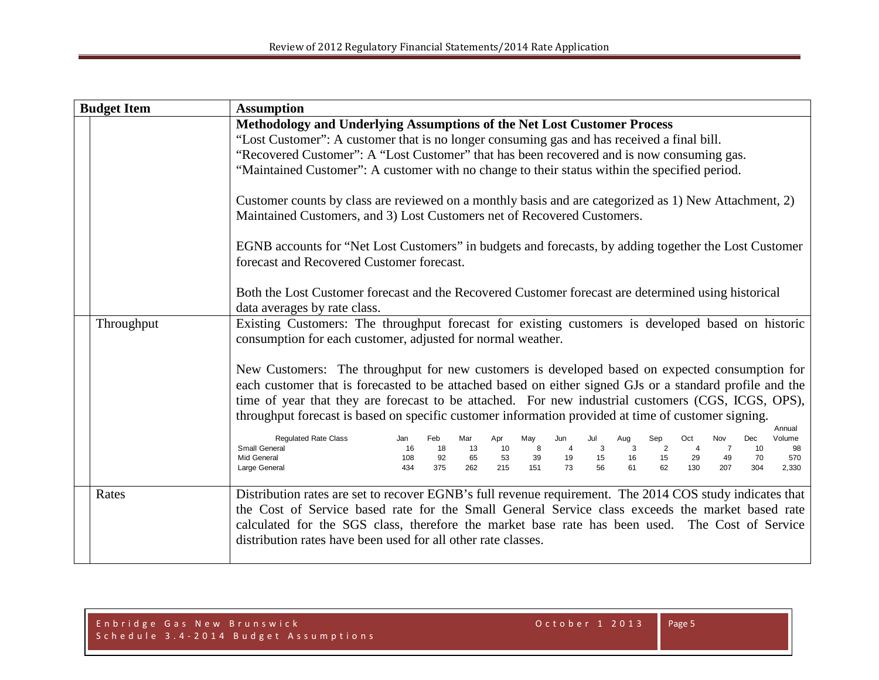| <b>Budget Item</b> | <b>Assumption</b>                                                                                                                                                                                                                                                                                                                                                                                                                                                                                                                                                                                                                                                                                                                                                                                                                                                                                                                                                                                                                      |  |  |  |
|--------------------|----------------------------------------------------------------------------------------------------------------------------------------------------------------------------------------------------------------------------------------------------------------------------------------------------------------------------------------------------------------------------------------------------------------------------------------------------------------------------------------------------------------------------------------------------------------------------------------------------------------------------------------------------------------------------------------------------------------------------------------------------------------------------------------------------------------------------------------------------------------------------------------------------------------------------------------------------------------------------------------------------------------------------------------|--|--|--|
|                    | Methodology and Underlying Assumptions of the Net Lost Customer Process<br>"Lost Customer": A customer that is no longer consuming gas and has received a final bill.<br>"Recovered Customer": A "Lost Customer" that has been recovered and is now consuming gas.<br>"Maintained Customer": A customer with no change to their status within the specified period.<br>Customer counts by class are reviewed on a monthly basis and are categorized as 1) New Attachment, 2)<br>Maintained Customers, and 3) Lost Customers net of Recovered Customers.<br>EGNB accounts for "Net Lost Customers" in budgets and forecasts, by adding together the Lost Customer                                                                                                                                                                                                                                                                                                                                                                       |  |  |  |
|                    | forecast and Recovered Customer forecast.<br>Both the Lost Customer forecast and the Recovered Customer forecast are determined using historical<br>data averages by rate class.                                                                                                                                                                                                                                                                                                                                                                                                                                                                                                                                                                                                                                                                                                                                                                                                                                                       |  |  |  |
| Throughput         | Existing Customers: The throughput forecast for existing customers is developed based on historic<br>consumption for each customer, adjusted for normal weather.<br>New Customers: The throughput for new customers is developed based on expected consumption for<br>each customer that is forecasted to be attached based on either signed GJs or a standard profile and the<br>time of year that they are forecast to be attached. For new industrial customers (CGS, ICGS, OPS),<br>throughput forecast is based on specific customer information provided at time of customer signing.<br>Annual<br><b>Regulated Rate Class</b><br>Feb<br>Oct<br>Jan<br>Mar<br>Apr<br>May<br>Jul<br>Aug<br>Sep<br>Dec<br>Jun<br>Nov<br>Volume<br>Small General<br>8<br>2<br>16<br>18<br>10<br>3<br>3<br>$\overline{4}$<br>13<br>10<br>98<br>53<br>39<br>15<br>Mid General<br>108<br>92<br>65<br>19<br>15<br>29<br>570<br>16<br>49<br>70<br>56<br>434<br>375<br>262<br>215<br>73<br>61<br>62<br>130<br>207<br>Large General<br>151<br>304<br>2,330 |  |  |  |
| Rates              | Distribution rates are set to recover EGNB's full revenue requirement. The 2014 COS study indicates that<br>the Cost of Service based rate for the Small General Service class exceeds the market based rate<br>calculated for the SGS class, therefore the market base rate has been used. The Cost of Service<br>distribution rates have been used for all other rate classes.                                                                                                                                                                                                                                                                                                                                                                                                                                                                                                                                                                                                                                                       |  |  |  |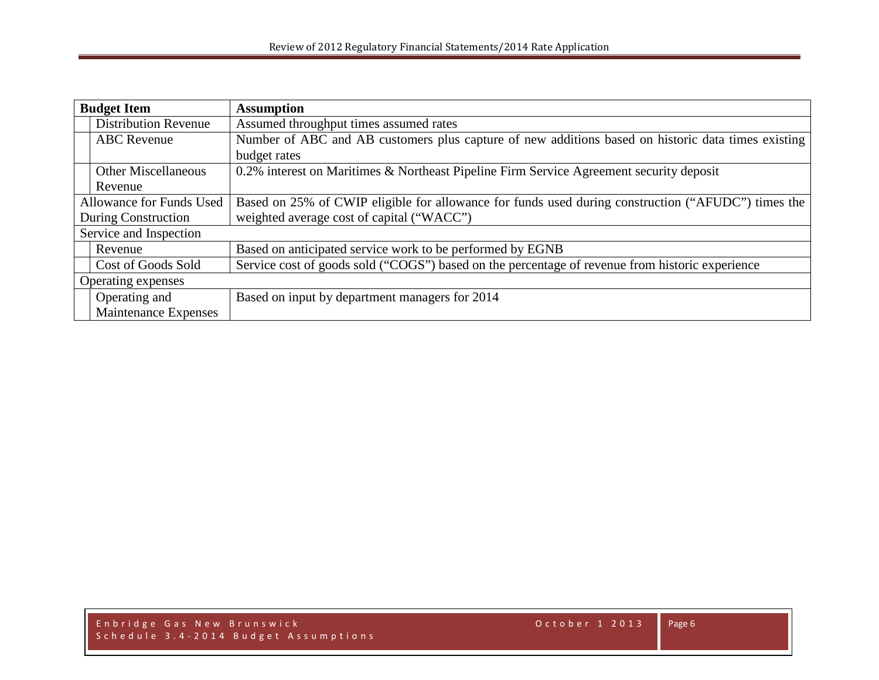| <b>Budget Item</b>       |                             | <b>Assumption</b>                                                                                  |  |  |  |  |  |
|--------------------------|-----------------------------|----------------------------------------------------------------------------------------------------|--|--|--|--|--|
|                          | <b>Distribution Revenue</b> | Assumed throughput times assumed rates                                                             |  |  |  |  |  |
|                          | <b>ABC</b> Revenue          | Number of ABC and AB customers plus capture of new additions based on historic data times existing |  |  |  |  |  |
|                          |                             | budget rates                                                                                       |  |  |  |  |  |
|                          | <b>Other Miscellaneous</b>  | 0.2% interest on Maritimes & Northeast Pipeline Firm Service Agreement security deposit            |  |  |  |  |  |
|                          | Revenue                     |                                                                                                    |  |  |  |  |  |
| Allowance for Funds Used |                             | Based on 25% of CWIP eligible for allowance for funds used during construction ("AFUDC") times the |  |  |  |  |  |
| During Construction      |                             | weighted average cost of capital ("WACC")                                                          |  |  |  |  |  |
| Service and Inspection   |                             |                                                                                                    |  |  |  |  |  |
|                          | Revenue                     | Based on anticipated service work to be performed by EGNB                                          |  |  |  |  |  |
|                          | Cost of Goods Sold          | Service cost of goods sold ("COGS") based on the percentage of revenue from historic experience    |  |  |  |  |  |
| Operating expenses       |                             |                                                                                                    |  |  |  |  |  |
|                          | Operating and               | Based on input by department managers for 2014                                                     |  |  |  |  |  |
|                          | Maintenance Expenses        |                                                                                                    |  |  |  |  |  |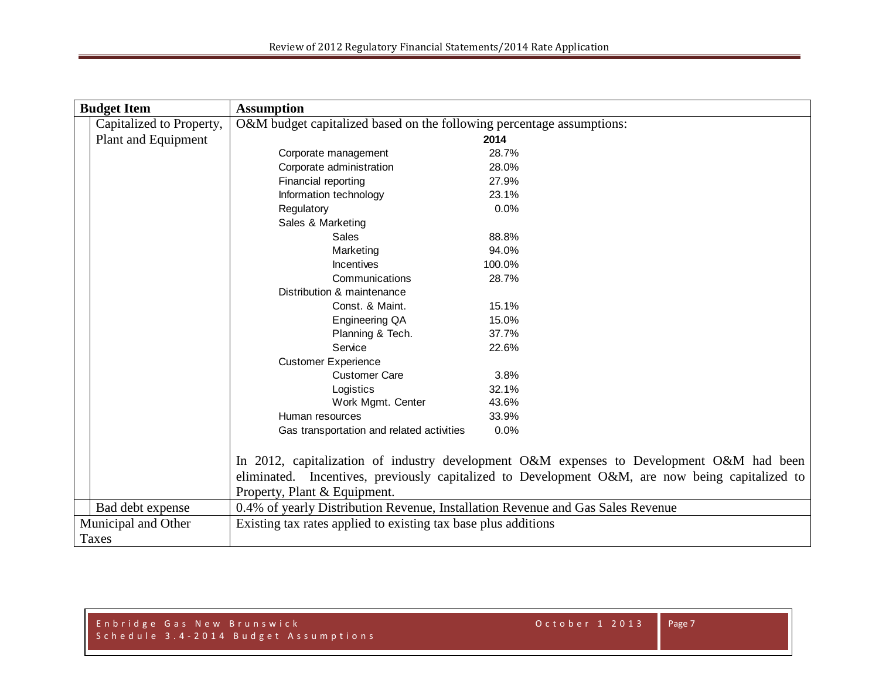| <b>Budget Item</b>  |                          | <b>Assumption</b>                                                               |                                                                                                 |
|---------------------|--------------------------|---------------------------------------------------------------------------------|-------------------------------------------------------------------------------------------------|
|                     | Capitalized to Property, | O&M budget capitalized based on the following percentage assumptions:           |                                                                                                 |
|                     | Plant and Equipment      |                                                                                 | 2014                                                                                            |
|                     |                          | Corporate management                                                            | 28.7%                                                                                           |
|                     |                          | Corporate administration                                                        | 28.0%                                                                                           |
|                     |                          | Financial reporting                                                             | 27.9%                                                                                           |
|                     |                          | Information technology                                                          | 23.1%                                                                                           |
|                     |                          | Regulatory                                                                      | 0.0%                                                                                            |
|                     |                          | Sales & Marketing                                                               |                                                                                                 |
|                     |                          | Sales                                                                           | 88.8%                                                                                           |
|                     |                          | Marketing                                                                       | 94.0%                                                                                           |
|                     |                          | Incentives                                                                      | 100.0%                                                                                          |
|                     |                          | Communications                                                                  | 28.7%                                                                                           |
|                     |                          | Distribution & maintenance                                                      |                                                                                                 |
|                     |                          | Const. & Maint.                                                                 | 15.1%                                                                                           |
|                     |                          | Engineering QA                                                                  | 15.0%                                                                                           |
|                     |                          | Planning & Tech.                                                                | 37.7%                                                                                           |
|                     |                          | Service                                                                         | 22.6%                                                                                           |
|                     |                          | <b>Customer Experience</b>                                                      |                                                                                                 |
|                     |                          | <b>Customer Care</b>                                                            | 3.8%                                                                                            |
|                     |                          | Logistics                                                                       | 32.1%                                                                                           |
|                     |                          | Work Mgmt. Center                                                               | 43.6%                                                                                           |
|                     |                          | Human resources                                                                 | 33.9%                                                                                           |
|                     |                          | Gas transportation and related activities                                       | 0.0%                                                                                            |
|                     |                          |                                                                                 |                                                                                                 |
|                     |                          |                                                                                 | In 2012, capitalization of industry development O&M expenses to Development O&M had been        |
|                     |                          |                                                                                 | eliminated. Incentives, previously capitalized to Development O&M, are now being capitalized to |
|                     |                          | Property, Plant & Equipment.                                                    |                                                                                                 |
|                     | Bad debt expense         | 0.4% of yearly Distribution Revenue, Installation Revenue and Gas Sales Revenue |                                                                                                 |
| Municipal and Other |                          | Existing tax rates applied to existing tax base plus additions                  |                                                                                                 |
|                     | Taxes                    |                                                                                 |                                                                                                 |